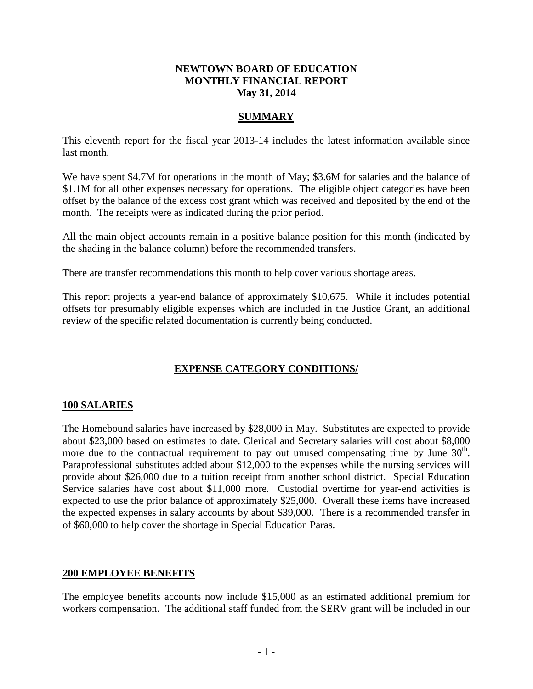## **NEWTOWN BOARD OF EDUCATION MONTHLY FINANCIAL REPORT May 31, 2014**

## **SUMMARY**

This eleventh report for the fiscal year 2013-14 includes the latest information available since last month.

We have spent \$4.7M for operations in the month of May; \$3.6M for salaries and the balance of \$1.1M for all other expenses necessary for operations. The eligible object categories have been offset by the balance of the excess cost grant which was received and deposited by the end of the month. The receipts were as indicated during the prior period.

All the main object accounts remain in a positive balance position for this month (indicated by the shading in the balance column) before the recommended transfers.

There are transfer recommendations this month to help cover various shortage areas.

This report projects a year-end balance of approximately \$10,675. While it includes potential offsets for presumably eligible expenses which are included in the Justice Grant, an additional review of the specific related documentation is currently being conducted.

## **EXPENSE CATEGORY CONDITIONS/**

## **100 SALARIES**

The Homebound salaries have increased by \$28,000 in May. Substitutes are expected to provide about \$23,000 based on estimates to date. Clerical and Secretary salaries will cost about \$8,000 more due to the contractual requirement to pay out unused compensating time by June  $30<sup>th</sup>$ . Paraprofessional substitutes added about \$12,000 to the expenses while the nursing services will provide about \$26,000 due to a tuition receipt from another school district. Special Education Service salaries have cost about \$11,000 more. Custodial overtime for year-end activities is expected to use the prior balance of approximately \$25,000. Overall these items have increased the expected expenses in salary accounts by about \$39,000. There is a recommended transfer in of \$60,000 to help cover the shortage in Special Education Paras.

## **200 EMPLOYEE BENEFITS**

The employee benefits accounts now include \$15,000 as an estimated additional premium for workers compensation. The additional staff funded from the SERV grant will be included in our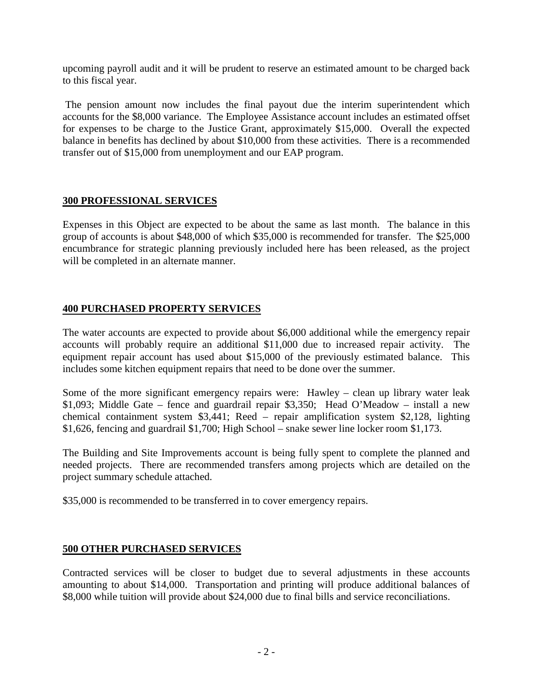upcoming payroll audit and it will be prudent to reserve an estimated amount to be charged back to this fiscal year.

The pension amount now includes the final payout due the interim superintendent which accounts for the \$8,000 variance. The Employee Assistance account includes an estimated offset for expenses to be charge to the Justice Grant, approximately \$15,000. Overall the expected balance in benefits has declined by about \$10,000 from these activities. There is a recommended transfer out of \$15,000 from unemployment and our EAP program.

## **300 PROFESSIONAL SERVICES**

Expenses in this Object are expected to be about the same as last month. The balance in this group of accounts is about \$48,000 of which \$35,000 is recommended for transfer. The \$25,000 encumbrance for strategic planning previously included here has been released, as the project will be completed in an alternate manner.

## **400 PURCHASED PROPERTY SERVICES**

The water accounts are expected to provide about \$6,000 additional while the emergency repair accounts will probably require an additional \$11,000 due to increased repair activity. The equipment repair account has used about \$15,000 of the previously estimated balance. This includes some kitchen equipment repairs that need to be done over the summer.

Some of the more significant emergency repairs were: Hawley – clean up library water leak \$1,093; Middle Gate – fence and guardrail repair \$3,350; Head O'Meadow – install a new chemical containment system \$3,441; Reed – repair amplification system \$2,128, lighting \$1,626, fencing and guardrail \$1,700; High School – snake sewer line locker room \$1,173.

The Building and Site Improvements account is being fully spent to complete the planned and needed projects. There are recommended transfers among projects which are detailed on the project summary schedule attached.

\$35,000 is recommended to be transferred in to cover emergency repairs.

## **500 OTHER PURCHASED SERVICES**

Contracted services will be closer to budget due to several adjustments in these accounts amounting to about \$14,000. Transportation and printing will produce additional balances of \$8,000 while tuition will provide about \$24,000 due to final bills and service reconciliations.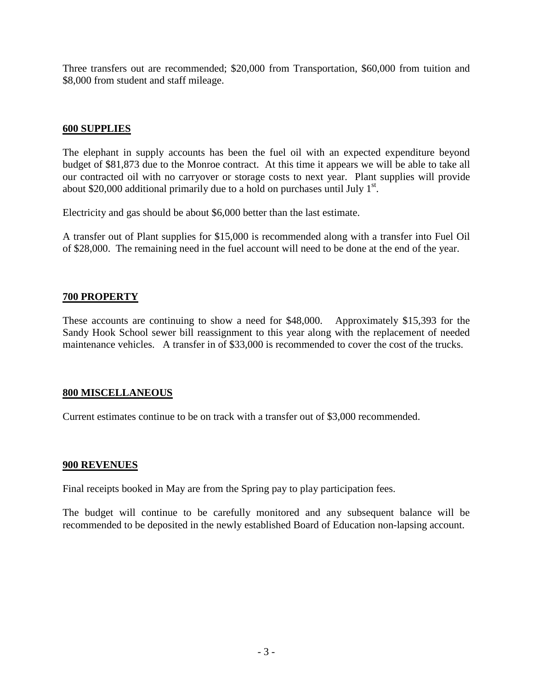Three transfers out are recommended; \$20,000 from Transportation, \$60,000 from tuition and \$8,000 from student and staff mileage.

## **600 SUPPLIES**

The elephant in supply accounts has been the fuel oil with an expected expenditure beyond budget of \$81,873 due to the Monroe contract. At this time it appears we will be able to take all our contracted oil with no carryover or storage costs to next year. Plant supplies will provide about \$20,000 additional primarily due to a hold on purchases until July  $1<sup>st</sup>$ .

Electricity and gas should be about \$6,000 better than the last estimate.

A transfer out of Plant supplies for \$15,000 is recommended along with a transfer into Fuel Oil of \$28,000. The remaining need in the fuel account will need to be done at the end of the year.

## **700 PROPERTY**

These accounts are continuing to show a need for \$48,000. Approximately \$15,393 for the Sandy Hook School sewer bill reassignment to this year along with the replacement of needed maintenance vehicles. A transfer in of \$33,000 is recommended to cover the cost of the trucks.

## **800 MISCELLANEOUS**

Current estimates continue to be on track with a transfer out of \$3,000 recommended.

#### **900 REVENUES**

Final receipts booked in May are from the Spring pay to play participation fees.

The budget will continue to be carefully monitored and any subsequent balance will be recommended to be deposited in the newly established Board of Education non-lapsing account.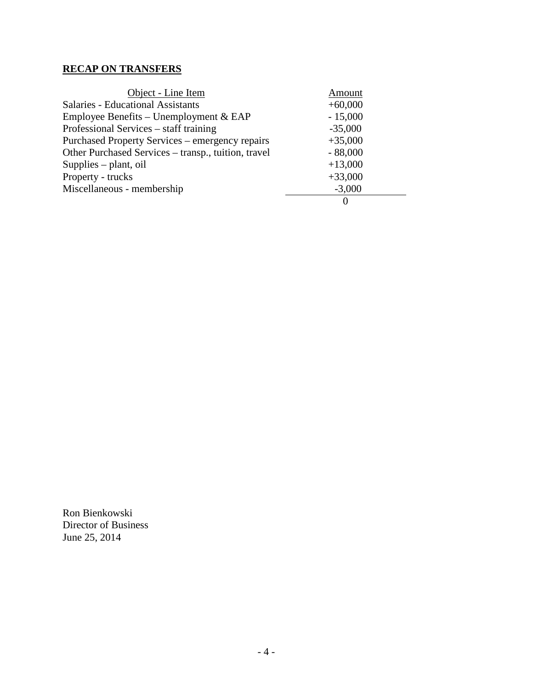# **RECAP ON TRANSFERS**

| Object - Line Item                                  | Amount    |
|-----------------------------------------------------|-----------|
| <b>Salaries - Educational Assistants</b>            | $+60,000$ |
| Employee Benefits – Unemployment $&$ EAP            | $-15,000$ |
| Professional Services – staff training              | $-35,000$ |
| Purchased Property Services – emergency repairs     | $+35,000$ |
| Other Purchased Services - transp., tuition, travel | $-88,000$ |
| Supplies – plant, oil                               | $+13,000$ |
| Property - trucks                                   | $+33,000$ |
| Miscellaneous - membership                          | $-3,000$  |
|                                                     | $\theta$  |

Ron Bienkowski Director of Business June 25, 2014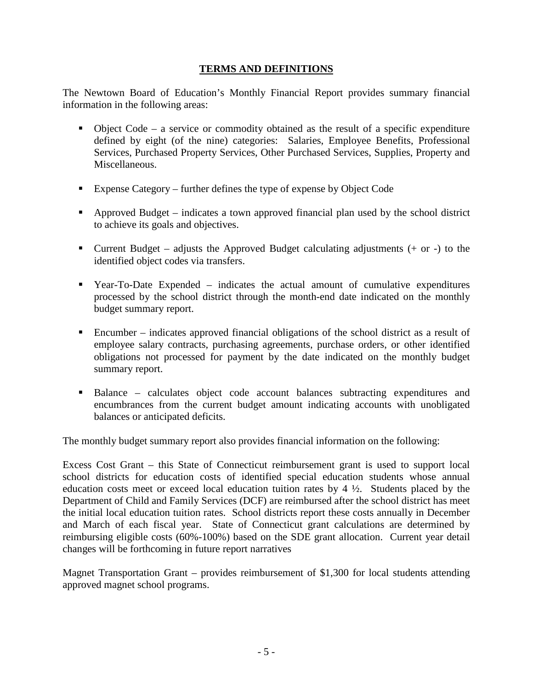## **TERMS AND DEFINITIONS**

The Newtown Board of Education's Monthly Financial Report provides summary financial information in the following areas:

- $\bullet$  Object Code a service or commodity obtained as the result of a specific expenditure defined by eight (of the nine) categories: Salaries, Employee Benefits, Professional Services, Purchased Property Services, Other Purchased Services, Supplies, Property and Miscellaneous.
- Expense Category further defines the type of expense by Object Code
- Approved Budget indicates a town approved financial plan used by the school district to achieve its goals and objectives.
- Current Budget adjusts the Approved Budget calculating adjustments  $(+)$  or  $-)$  to the identified object codes via transfers.
- Year-To-Date Expended indicates the actual amount of cumulative expenditures processed by the school district through the month-end date indicated on the monthly budget summary report.
- Encumber indicates approved financial obligations of the school district as a result of employee salary contracts, purchasing agreements, purchase orders, or other identified obligations not processed for payment by the date indicated on the monthly budget summary report.
- Balance calculates object code account balances subtracting expenditures and encumbrances from the current budget amount indicating accounts with unobligated balances or anticipated deficits.

The monthly budget summary report also provides financial information on the following:

Excess Cost Grant – this State of Connecticut reimbursement grant is used to support local school districts for education costs of identified special education students whose annual education costs meet or exceed local education tuition rates by  $4\frac{1}{2}$ . Students placed by the Department of Child and Family Services (DCF) are reimbursed after the school district has meet the initial local education tuition rates. School districts report these costs annually in December and March of each fiscal year. State of Connecticut grant calculations are determined by reimbursing eligible costs (60%-100%) based on the SDE grant allocation. Current year detail changes will be forthcoming in future report narratives

Magnet Transportation Grant – provides reimbursement of \$1,300 for local students attending approved magnet school programs.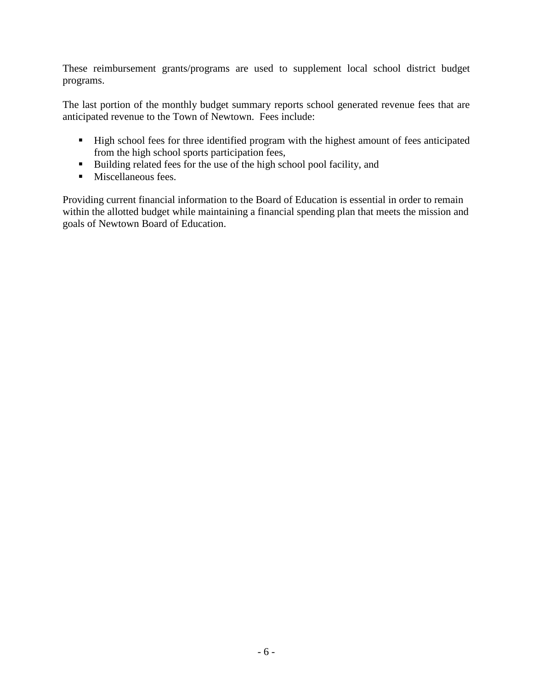These reimbursement grants/programs are used to supplement local school district budget programs.

The last portion of the monthly budget summary reports school generated revenue fees that are anticipated revenue to the Town of Newtown. Fees include:

- High school fees for three identified program with the highest amount of fees anticipated from the high school sports participation fees,
- Building related fees for the use of the high school pool facility, and
- **Miscellaneous fees.**

Providing current financial information to the Board of Education is essential in order to remain within the allotted budget while maintaining a financial spending plan that meets the mission and goals of Newtown Board of Education.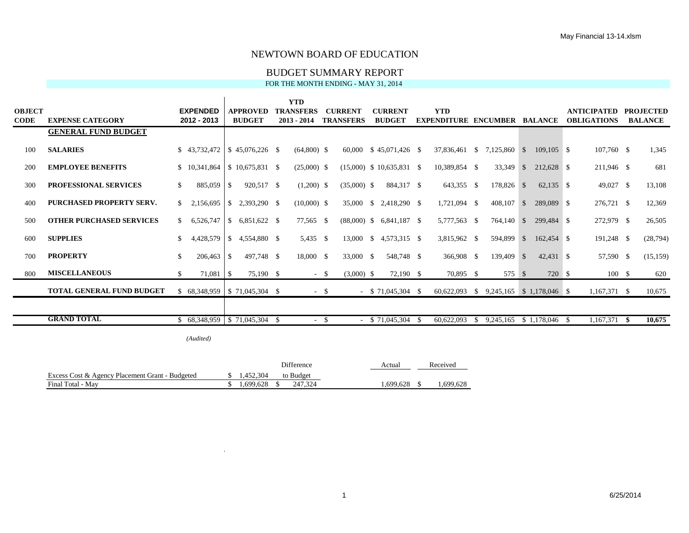#### BUDGET SUMMARY REPORT

FOR THE MONTH ENDING - MAY 31, 2014

|               |                                  |              |                                        |               |                  |      | <b>YTD</b>       |          |                  |                             |     |                                             |    |              |              |    |                    |      |                  |
|---------------|----------------------------------|--------------|----------------------------------------|---------------|------------------|------|------------------|----------|------------------|-----------------------------|-----|---------------------------------------------|----|--------------|--------------|----|--------------------|------|------------------|
| <b>OBJECT</b> |                                  |              | <b>EXPENDED</b>                        |               | <b>APPROVED</b>  |      | <b>TRANSFERS</b> |          | <b>CURRENT</b>   | <b>CURRENT</b>              |     | <b>YTD</b>                                  |    |              |              |    | <b>ANTICIPATED</b> |      | <b>PROJECTED</b> |
| <b>CODE</b>   | <b>EXPENSE CATEGORY</b>          |              | 2012 - 2013                            |               | <b>BUDGET</b>    |      | $2013 - 2014$    |          | <b>TRANSFERS</b> | <b>BUDGET</b>               |     | <b>EXPENDITURE ENCUMBER BALANCE</b>         |    |              |              |    | <b>OBLIGATIONS</b> |      | <b>BALANCE</b>   |
|               | <b>GENERAL FUND BUDGET</b>       |              |                                        |               |                  |      |                  |          |                  |                             |     |                                             |    |              |              |    |                    |      |                  |
| 100           | <b>SALARIES</b>                  |              | $$43,732,472 \;   \; $45,076,226 \; $$ |               |                  |      | $(64,800)$ \$    |          |                  | 60,000 \$45,071,426 \$      |     | 37,836,461 \$                               |    | 7,125,860 \$ | $109.105$ \$ |    | $107,760$ \$       |      | 1,345            |
| 200           | <b>EMPLOYEE BENEFITS</b>         |              | \$10,341,864                           |               | $$10,675,831$ \; |      | $(25,000)$ \$    |          |                  | $(15,000)$ \$ 10,635,831 \$ |     | 10,389,854 \$                               |    | 33,349 \$    | 212,628 \$   |    | 211,946 \$         |      | 681              |
| 300           | <b>PROFESSIONAL SERVICES</b>     |              | 885,059                                | $\sqrt{S}$    | 920,517 \$       |      | $(1,200)$ \$     |          | $(35,000)$ \$    | 884,317 \$                  |     | 643,355 \$                                  |    | 178,826 \$   | $62,135$ \$  |    | 49,027 \$          |      | 13,108           |
| 400           | <b>PURCHASED PROPERTY SERV.</b>  | $\mathbb{S}$ | 2,156,695                              | -S            | 2,393,290 \$     |      | $(10,000)$ \$    |          |                  | 35,000 \$ 2,418,290 \$      |     | 1,721,094 \$                                |    | $408,107$ \$ | 289,089 \$   |    | 276,721 \$         |      | 12,369           |
| 500           | <b>OTHER PURCHASED SERVICES</b>  | \$.          | 6,526,747                              | -S            | 6,851,622 \$     |      | 77,565 \$        |          |                  | $(88,000)$ \$ 6,841,187 \$  |     | 5,777,563 \$                                |    | 764,140 \$   | 299,484 \$   |    | 272,979 \$         |      | 26,505           |
| 600           | <b>SUPPLIES</b>                  | \$.          | 4,428,579                              | $\mathcal{S}$ | 4,554,880 \$     |      | 5,435 \$         |          |                  | 13,000 \$ 4,573,315 \$      |     | 3,815,962 \$                                |    | 594,899 \$   | 162,454 \$   |    | $191,248$ \$       |      | (28, 794)        |
| 700           | <b>PROPERTY</b>                  | \$.          | 206,463                                | - \$          | 497,748 \$       |      | 18,000 \$        |          | 33,000 \$        | 548,748 \$                  |     | 366,908 \$                                  |    | 139,409 \$   | 42,431 \$    |    | 57,590 \$          |      | (15, 159)        |
| 800           | <b>MISCELLANEOUS</b>             | \$.          | $71,081$ \$                            |               | 75,190 \$        |      |                  | $-$ \$   | $(3,000)$ \$     | 72,190 \$                   |     | 70,895 \$                                   |    | 575 \$       | 720 \$       |    | 100S               |      | 620              |
|               | <b>TOTAL GENERAL FUND BUDGET</b> |              | $$68,348,959 \;   \; $71,045,304 \; $$ |               |                  |      |                  | $-$ \$   |                  | $-$ \$ 71,045,304 \$        |     | $60,622,093$ \$ $9,245,165$ \$ 1,178,046 \$ |    |              |              |    | $1,167,371$ \$     |      | 10,675           |
|               |                                  |              |                                        |               |                  |      |                  |          |                  |                             |     |                                             |    |              |              |    |                    |      |                  |
|               | <b>GRAND TOTAL</b>               |              | $$68,348,959$ $$71,045,304$            |               |                  | - \$ | $\sim$           | <b>S</b> |                  | \$71,045,304                | - S | 60,622,093                                  | -S | 9,245,165    | \$1,178,046  | -S | 1,167,371          | - SS | 10,675           |
|               |                                  |              | (Audited)                              |               |                  |      |                  |          |                  |                             |     |                                             |    |              |              |    |                    |      |                  |

|                                                 |           | Difference | Actual    | Received |
|-------------------------------------------------|-----------|------------|-----------|----------|
| Excess Cost & Agency Placement Grant - Budgeted | 1.452.304 | to Budget  |           |          |
| Final Total - Mav                               | 1.699.628 | 247.324    | . 699.628 | .699.628 |

 $\mathbf{r}$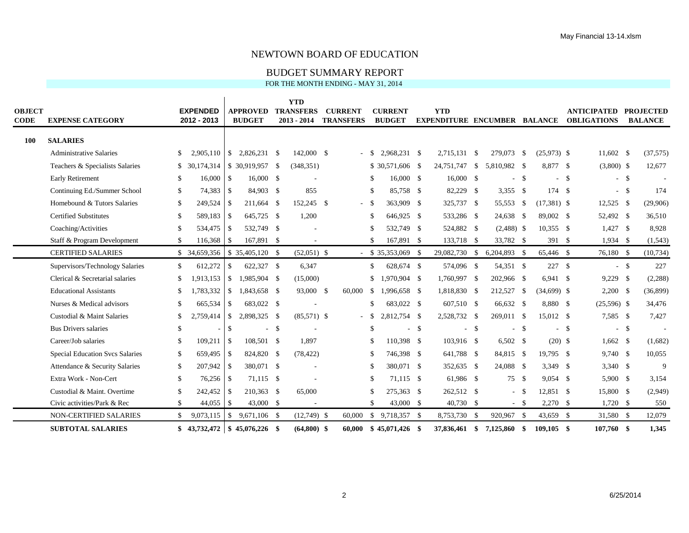#### BUDGET SUMMARY REPORT

| <b>OBJECT</b><br><b>CODE</b> | <b>EXPENSE CATEGORY</b>                |               | <b>EXPENDED</b><br>2012 - 2013 |                | <b>APPROVED</b><br><b>BUDGET</b> |     | <b>YTD</b><br><b>TRANSFERS</b><br>$2013 - 2014$ | <b>CURRENT</b><br><b>TRANSFERS</b> |      | <b>CURRENT</b><br><b>BUDGET</b> |    | <b>YTD</b><br><b>EXPENDITURE ENCUMBER BALANCE</b> |        |              |      |               |    | <b>ANTICIPATED</b><br><b>OBLIGATIONS</b> |        | <b>PROJECTED</b><br><b>BALANCE</b> |
|------------------------------|----------------------------------------|---------------|--------------------------------|----------------|----------------------------------|-----|-------------------------------------------------|------------------------------------|------|---------------------------------|----|---------------------------------------------------|--------|--------------|------|---------------|----|------------------------------------------|--------|------------------------------------|
| <b>100</b>                   | <b>SALARIES</b>                        |               |                                |                |                                  |     |                                                 |                                    |      |                                 |    |                                                   |        |              |      |               |    |                                          |        |                                    |
|                              | <b>Administrative Salaries</b>         | S.            | 2.905.110                      |                | $\frac{1}{2}$ , 2,826,231 \ \ \$ |     | 142,000 \$                                      |                                    | - \$ | 2,968,231 \$                    |    | 2,715,131 \$                                      |        | 279,073 \$   |      | $(25,973)$ \$ |    | $11,602$ \$                              |        | (37,575)                           |
|                              | Teachers & Specialists Salaries        |               | \$ 30,174,314                  |                |                                  |     | (348, 351)                                      |                                    |      | \$30,571,606 \$                 |    | 24,751,747 \$                                     |        | 5,810,982 \$ |      | 8,877 \$      |    | $(3,800)$ \$                             |        | 12,677                             |
|                              | <b>Early Retirement</b>                | S             | $16,000$ \$                    |                | $16,000$ \$                      |     |                                                 |                                    | S    | 16,000 \$                       |    | 16,000 \$                                         |        | $-$ \$       |      |               | -S |                                          | $-$ \$ |                                    |
|                              | Continuing Ed./Summer School           | \$            | 74,383 \$                      |                | 84,903 \$                        |     | 855                                             |                                    | \$   | 85,758 \$                       |    | 82,229 \$                                         |        | $3,355$ \$   |      | 174           | -S |                                          | $-$ \$ | 174                                |
|                              | Homebound & Tutors Salaries            | $\mathbb{S}$  | 249.524                        | l \$           | 211,664 \$                       |     | 152.245 \$                                      | $-$ \$                             |      | 363,909 \$                      |    | 325,737 \$                                        |        | 55,553       | -S   | $(17,381)$ \$ |    | $12,525$ \$                              |        | (29,906)                           |
|                              | <b>Certified Substitutes</b>           | -S            | 589,183                        | $\overline{1}$ | 645,725 \$                       |     | 1,200                                           |                                    | \$   | 646,925 \$                      |    | 533,286 \$                                        |        | 24,638 \$    |      | 89,002 \$     |    | 52,492 \$                                |        | 36,510                             |
|                              | Coaching/Activities                    | <sup>\$</sup> |                                |                | 532,749 \$                       |     |                                                 |                                    | \$.  | 532,749 \$                      |    | 524,882 \$                                        |        | $(2,488)$ \$ |      | $10,355$ \$   |    | $1,427$ \$                               |        | 8,928                              |
|                              | Staff & Program Development            | \$.           | 116,368                        | l \$           | 167,891 \$                       |     |                                                 |                                    | \$   | 167,891 \$                      |    | 133,718 \$                                        |        | 33,782 \$    |      | 391S          |    | $1,934$ \$                               |        | (1, 543)                           |
|                              | <b>CERTIFIED SALARIES</b>              |               | \$ 34,659,356                  |                | $$35,405,120$ \\$                |     | $(52,051)$ \$                                   |                                    |      | $-$ \$ 35,353,069 \$            |    | 29,082,730 \$                                     |        | 6,204,893 \$ |      | 65,446 \$     |    | 76,180 \$                                |        | (10, 734)                          |
|                              | Supervisors/Technology Salaries        | S.            | 612,272                        | $\mathbb{S}$   | 622,327 \$                       |     | 6,347                                           |                                    | \$   | 628,674 \$                      |    | 574,096 \$                                        |        | 54,351 \$    |      | 227S          |    |                                          | $-$ \$ | 227                                |
|                              | Clerical & Secretarial salaries        | \$            |                                |                | $1.913.153 \& 1.985.904 \&$      |     | (15,000)                                        |                                    | \$   | 1.970.904 \$                    |    | 1,760,997 \$                                      |        | 202,966 \$   |      | 6.941 S       |    | $9,229$ \$                               |        | (2, 288)                           |
|                              | <b>Educational Assistants</b>          | £.            | 1,783,332                      |                | $$1,843,658$ \ \$                |     | 93,000 \$                                       | 60,000                             | -S   | 1,996,658 \$                    |    | 1,818,830 \$                                      |        | 212,527      | - \$ | $(34,699)$ \$ |    | $2,200$ \$                               |        | (36,899)                           |
|                              | Nurses & Medical advisors              | \$.           | 665,534                        | <b>S</b>       | 683,022 \$                       |     |                                                 |                                    | \$   | 683,022 \$                      |    | 607,510 \$                                        |        | 66,632 \$    |      | 8,880 \$      |    | $(25,596)$ \$                            |        | 34,476                             |
|                              | Custodial & Maint Salaries             | \$            | 2.759.414                      | $\overline{1}$ | 2,898,325 \$                     |     | $(85,571)$ \$                                   |                                    | - \$ | 2.812.754 \$                    |    | 2,528,732 \$                                      |        | 269.011 \$   |      | 15.012 \$     |    | 7,585 \$                                 |        | 7,427                              |
|                              | <b>Bus Drivers salaries</b>            | \$            |                                | \$             | $\sim$                           | -\$ |                                                 |                                    | \$.  | ÷.                              | -S |                                                   | $-$ \$ |              | -\$  |               | -S |                                          | $-$ \$ |                                    |
|                              | Career/Job salaries                    | \$            | 109,211                        | $\overline{1}$ | 108,501 \$                       |     | 1,897                                           |                                    | \$   | 110,398 \$                      |    | 103,916 \$                                        |        | $6,502$ \$   |      | $(20)$ \$     |    | $1,662$ \$                               |        | (1,682)                            |
|                              | <b>Special Education Svcs Salaries</b> | \$            | 659,495 \$                     |                | 824,820 \$                       |     | (78, 422)                                       |                                    | \$   | 746,398 \$                      |    | 641,788 \$                                        |        | 84,815 \$    |      | 19,795 \$     |    | $9,740$ \$                               |        | 10,055                             |
|                              | Attendance & Security Salaries         | \$            | $207,942$ \$                   |                | 380,071 \$                       |     |                                                 |                                    | \$   | 380,071 \$                      |    | 352,635 \$                                        |        | 24,088 \$    |      | 3,349 \$      |    | $3,340$ \$                               |        | 9                                  |
|                              | Extra Work - Non-Cert                  | $\mathbb{S}$  | 76,256 \$                      |                | 71,115 \$                        |     |                                                 |                                    | \$   | 71,115 \$                       |    | 61,986 \$                                         |        | 75 \$        |      | $9,054$ \$    |    | $5,900$ \$                               |        | 3,154                              |
|                              | Custodial & Maint. Overtime            | \$.           | 242,452 \$                     |                | 210,363 \$                       |     | 65,000                                          |                                    | \$   | 275,363 \$                      |    | 262,512 \$                                        |        |              | - \$ | 12.851 \$     |    | 15,800 \$                                |        | (2,949)                            |
|                              | Civic activities/Park & Rec            | \$            | 44,055                         | l \$           | 43,000 \$                        |     |                                                 |                                    | \$   | 43,000 \$                       |    | 40,730 \$                                         |        | $-$ \$       |      | $2,270$ \$    |    | $1,720$ \$                               |        | 550                                |
|                              | NON-CERTIFIED SALARIES                 | \$            | 9,073,115                      |                | $$9,671,106$ \\$                 |     | $(12,749)$ \$                                   | 60,000                             |      | $$9,718,357$ \;                 |    | 8,753,730 \$                                      |        | 920,967 \$   |      | 43,659 \$     |    | 31,580 \$                                |        | 12,079                             |
|                              | <b>SUBTOTAL SALARIES</b>               |               | $$43.732.472 \& 45.076.226 \&$ |                |                                  |     | $(64,800)$ \$                                   | 60,000                             |      | $$45,071,426$ \ \$              |    | 37,836,461 \$                                     |        | 7,125,860    | - \$ | $109.105$ \$  |    | 107.760 \$                               |        | 1.345                              |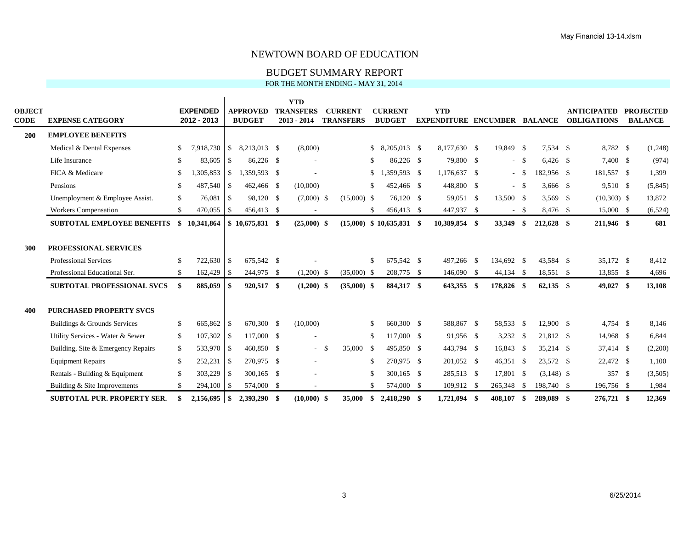#### BUDGET SUMMARY REPORT

|                |                                    |               |                                |                |                                  | <b>YTD</b>                        |    |                                    |              |                                 |                                                   |            |        |              |                                          |                                    |
|----------------|------------------------------------|---------------|--------------------------------|----------------|----------------------------------|-----------------------------------|----|------------------------------------|--------------|---------------------------------|---------------------------------------------------|------------|--------|--------------|------------------------------------------|------------------------------------|
| OBJECT<br>CODE | <b>EXPENSE CATEGORY</b>            |               | <b>EXPENDED</b><br>2012 - 2013 |                | <b>APPROVED</b><br><b>BUDGET</b> | <b>TRANSFERS</b><br>$2013 - 2014$ |    | <b>CURRENT</b><br><b>TRANSFERS</b> |              | <b>CURRENT</b><br><b>BUDGET</b> | <b>YTD</b><br><b>EXPENDITURE ENCUMBER BALANCE</b> |            |        |              | <b>ANTICIPATED</b><br><b>OBLIGATIONS</b> | <b>PROJECTED</b><br><b>BALANCE</b> |
|                |                                    |               |                                |                |                                  |                                   |    |                                    |              |                                 |                                                   |            |        |              |                                          |                                    |
| <b>200</b>     | <b>EMPLOYEE BENEFITS</b>           |               |                                |                |                                  |                                   |    |                                    |              |                                 |                                                   |            |        |              |                                          |                                    |
|                | Medical & Dental Expenses          | S             | 7,918,730                      | $\mathbb{S}$   | 8,213,013 \$                     | (8,000)                           |    |                                    |              |                                 | 8,177,630 \$                                      | 19,849 \$  |        | 7,534 \$     | 8,782 \$                                 | (1,248)                            |
|                | Life Insurance                     | \$            | 83,605                         | \$             | 86,226 \$                        |                                   |    |                                    | \$.          | 86,226 \$                       | 79,800 \$                                         |            | $-$ \$ | $6,426$ \$   | 7,400 \$                                 | (974)                              |
|                | FICA & Medicare                    | \$            | ,305,853                       | $\mathbb{S}$   | 1,359,593 \$                     |                                   |    |                                    | \$           | 1,359,593 \$                    | 1,176,637 \$                                      |            | - \$   | 182,956 \$   | 181,557 \$                               | 1,399                              |
|                | Pensions                           | \$            | 487,540                        | -S             | 462,466 \$                       | (10,000)                          |    |                                    | \$           | 452,466 \$                      | 448,800 \$                                        |            | - \$   | $3,666$ \$   | 9,510 \$                                 | (5, 845)                           |
|                | Unemployment & Employee Assist.    | <sup>\$</sup> | 76,081                         | $\overline{1}$ | 98,120 \$                        | $(7,000)$ \$                      |    | $(15,000)$ \$                      |              | 76.120 \$                       | 59.051 \$                                         | 13,500 \$  |        | $3.569$ \$   | $(10,303)$ \$                            | 13,872                             |
|                | <b>Workers Compensation</b>        | \$            | 470,055 \$                     |                | 456,413 \$                       |                                   |    |                                    | \$           | 456,413 \$                      | 447,937 \$                                        |            | $-$ \$ | 8.476 \$     | 15,000 \$                                | (6, 524)                           |
|                | <b>SUBTOTAL EMPLOYEE BENEFITS</b>  | \$            | 10,341,864                     |                | $$10,675,831$ \\$                | $(25,000)$ \$                     |    | (15,000)                           |              | $$10,635,831$ \\$               | 10,389,854 \$                                     | 33,349     | \$     | 212,628 \$   | 211,946 \$                               | 681                                |
|                |                                    |               |                                |                |                                  |                                   |    |                                    |              |                                 |                                                   |            |        |              |                                          |                                    |
| 300            | <b>PROFESSIONAL SERVICES</b>       |               |                                |                |                                  |                                   |    |                                    |              |                                 |                                                   |            |        |              |                                          |                                    |
|                | Professional Services              | -S            | 722,630                        | -S             | 675,542 \$                       |                                   |    |                                    | \$           | 675,542 \$                      | 497,266 \$                                        | 134,692 \$ |        | 43,584 \$    | 35,172 \$                                | 8,412                              |
|                | Professional Educational Ser.      | $\mathbb{S}$  | 162,429                        | $\overline{1}$ | 244,975 \$                       | $(1,200)$ \$                      |    | $(35,000)$ \$                      |              | 208,775 \$                      | 146,090 \$                                        | 44,134 \$  |        | 18,551 \$    | 13,855 \$                                | 4,696                              |
|                | <b>SUBTOTAL PROFESSIONAL SVCS</b>  | -\$           | 885,059                        | -9             | 920,517 \$                       | $(1,200)$ \$                      |    | $(35,000)$ \$                      |              | 884,317 \$                      | 643,355 \$                                        | 178,826 \$ |        | $62,135$ \$  | 49,027 \$                                | 13,108                             |
|                |                                    |               |                                |                |                                  |                                   |    |                                    |              |                                 |                                                   |            |        |              |                                          |                                    |
| 400            | <b>PURCHASED PROPERTY SVCS</b>     |               |                                |                |                                  |                                   |    |                                    |              |                                 |                                                   |            |        |              |                                          |                                    |
|                | Buildings & Grounds Services       | <sup>S</sup>  | 665,862                        | -S             | 670,300 \$                       | (10,000)                          |    |                                    | \$           | 660,300 \$                      | 588,867 \$                                        | 58,533 \$  |        | 12,900 \$    | $4,754$ \$                               | 8,146                              |
|                | Utility Services - Water & Sewer   | \$            | $107,302$ \$                   |                | 117,000 \$                       |                                   |    |                                    | \$           | 117,000 \$                      | 91,956 \$                                         | $3,232$ \$ |        | 21,812 \$    | 14,968 \$                                | 6,844                              |
|                | Building, Site & Emergency Repairs | \$            | 533,970 \$                     |                | 460,850 \$                       | $\sim$                            | -S | 35,000                             | - \$         | 495,850 \$                      | 443,794 \$                                        | 16,843 \$  |        | $35,214$ \$  | 37,414 \$                                | (2,200)                            |
|                | <b>Equipment Repairs</b>           | $\mathbb{S}$  | 252,231                        | -\$            | 270.975 \$                       | $\sim$                            |    |                                    | $\mathbb{S}$ | 270.975 \$                      | 201,052 \$                                        | 46,351 \$  |        | 23,572 \$    | 22,472 \$                                | 1,100                              |
|                | Rentals - Building & Equipment     | \$            | 303,229                        | -S             | 300,165 \$                       |                                   |    |                                    | \$.          | 300,165 \$                      | 285,513 \$                                        | 17,801 \$  |        | $(3,148)$ \$ | 357 \$                                   | (3,505)                            |
|                | Building & Site Improvements       | \$            | 294,100                        | $\overline{1}$ | 574,000 \$                       | ٠                                 |    |                                    | \$.          | 574,000 \$                      | 109,912 \$                                        | 265,348    | \$     | 198,740 \$   | 196,756 \$                               | 1,984                              |
|                | <b>SUBTOTAL PUR. PROPERTY SER.</b> |               |                                |                | 2,393,290 \$                     | $(10,000)$ \$                     |    |                                    |              |                                 |                                                   | 408.107    |        | 289,089 \$   | 276,721 \$                               |                                    |
|                |                                    |               | $2,156,695$ \$                 |                |                                  |                                   |    | 35,000                             | \$           | 2,418,290 \$                    | 1,721,094 \$                                      |            | S      |              |                                          | 12,369                             |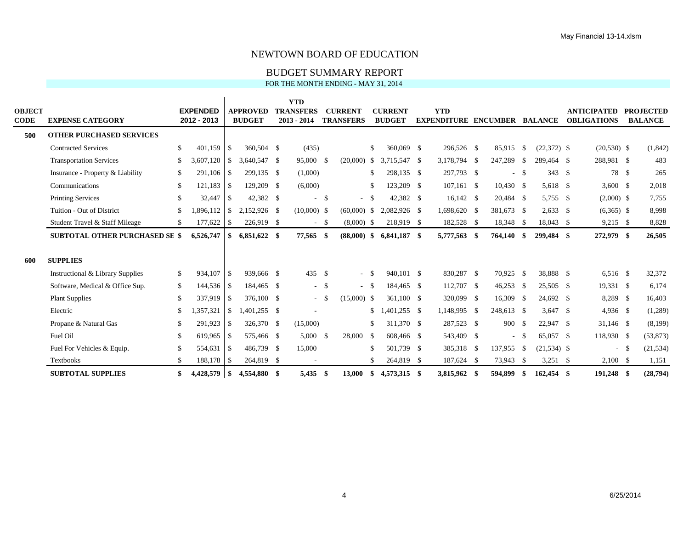#### BUDGET SUMMARY REPORT

|               |                                       |               |                 |                |                 | <b>YTD</b>       |        |                  |              |                |                                     |      |             |          |               |                    |      |                  |
|---------------|---------------------------------------|---------------|-----------------|----------------|-----------------|------------------|--------|------------------|--------------|----------------|-------------------------------------|------|-------------|----------|---------------|--------------------|------|------------------|
| <b>OBJECT</b> |                                       |               | <b>EXPENDED</b> |                | <b>APPROVED</b> | <b>TRANSFERS</b> |        | <b>CURRENT</b>   |              | <b>CURRENT</b> | <b>YTD</b>                          |      |             |          |               | <b>ANTICIPATED</b> |      | <b>PROJECTED</b> |
| <b>CODE</b>   | <b>EXPENSE CATEGORY</b>               |               | 2012 - 2013     |                | <b>BUDGET</b>   | $2013 - 2014$    |        | <b>TRANSFERS</b> |              | <b>BUDGET</b>  | <b>EXPENDITURE ENCUMBER BALANCE</b> |      |             |          |               | <b>OBLIGATIONS</b> |      | <b>BALANCE</b>   |
| 500           | <b>OTHER PURCHASED SERVICES</b>       |               |                 |                |                 |                  |        |                  |              |                |                                     |      |             |          |               |                    |      |                  |
|               | <b>Contracted Services</b>            | <sup>\$</sup> | 401,159         | l \$           | 360,504 \$      | (435)            |        |                  | \$           | 360,069 \$     | 296,526 \$                          |      | 85,915      | -S       | $(22,372)$ \$ | $(20,530)$ \$      |      | (1,842)          |
|               | <b>Transportation Services</b>        | \$            | 3,607,120       | -\$            | 3,640,547 \$    | 95,000           | -S     | (20,000)         | \$           | 3.715.547 \$   | 3,178,794                           | - \$ | 247,289     | - \$     | 289,464 \$    | 288,981 \$         |      | 483              |
|               | Insurance - Property & Liability      | \$            | 291,106         | $\mathsf{I}$   | 299,135 \$      | (1,000)          |        |                  | \$           | 298,135 \$     | 297,793 \$                          |      | $\sim$      | <b>S</b> | 343S          | 78 \$              |      | 265              |
|               | Communications                        | -S            | $121,183$ \$    |                | 129,209 \$      | (6,000)          |        |                  | \$           | 123,209 \$     | $107,161$ \$                        |      | $10,430$ \$ |          | 5,618 \$      | 3,600 $\sqrt{ }$   |      | 2,018            |
|               | <b>Printing Services</b>              | <sup>\$</sup> | 32,447          | <b>S</b>       | 42,382 \$       | $\sim$           | \$     | $\sim$           | $\mathbb{S}$ | 42,382 \$      | $16,142$ \$                         |      | 20,484 \$   |          | 5,755 \$      | $(2,000)$ \$       |      | 7,755            |
|               | Tuition - Out of District             | \$.           | ,896,112        | <b>S</b>       | 2,152,926 \$    | $(10,000)$ \$    |        | (60,000)         | - \$         | 2,082,926 \$   | 1,698,620 \$                        |      | 381,673 \$  |          | $2,633$ \$    | $(6,365)$ \$       |      | 8,998            |
|               | Student Travel & Staff Mileage        | <sup>\$</sup> | 177,622         | l Si           | 226,919 \$      |                  | $-$ \$ | $(8,000)$ \$     |              | 218,919 \$     | 182,528 \$                          |      | 18,348 \$   |          | 18,043 \$     | $9,215$ \$         |      | 8,828            |
|               | <b>SUBTOTAL OTHER PURCHASED SE \$</b> |               | 6,526,747       | -S             | $6,851,622$ \$  | 77,565           | - \$   | $(88,000)$ \$    |              | $6,841,187$ \$ | 5,777,563                           | -\$  | 764,140     | - \$     | 299,484 \$    | 272,979 \$         |      | 26,505           |
|               |                                       |               |                 |                |                 |                  |        |                  |              |                |                                     |      |             |          |               |                    |      |                  |
| 600           | <b>SUPPLIES</b>                       |               |                 |                |                 |                  |        |                  |              |                |                                     |      |             |          |               |                    |      |                  |
|               | Instructional & Library Supplies      | \$            | 934,107         | $\mathsf{I}$   | 939,666 \$      | 435              | -\$    | $\sim$           | -S           | 940.101 \$     | 830,287 \$                          |      | 70,925 \$   |          | 38,888 \$     | $6,516$ \$         |      | 32,372           |
|               | Software, Medical & Office Sup.       | \$            |                 |                | 184,465 \$      |                  | $-$ \$ | $\sim$           | - \$         | 184,465 \$     | 112,707 \$                          |      | $46,253$ \$ |          | 25,505 \$     | 19,331 \$          |      | 6,174            |
|               | <b>Plant Supplies</b>                 | \$            | 337,919         | $\overline{1}$ | 376,100 \$      | $-$ \$           |        | $(15,000)$ \$    |              | 361,100 \$     | 320,099 \$                          |      | 16,309 \$   |          | 24,692 \$     | 8,289 \$           |      | 16,403           |
|               | Electric                              | -\$           | .357,321        | -S             | $1,401,255$ \$  |                  |        |                  | \$           | 1,401,255 \$   | 1,148,995 \$                        |      | 248,613 \$  |          | $3,647$ \$    | $4,936$ \$         |      | (1,289)          |
|               | Propane & Natural Gas                 | \$            | 291,923         | $\overline{1}$ | 326,370 \$      | (15,000)         |        |                  | \$           | 311,370 \$     | 287,523 \$                          |      | 900 \$      |          | 22,947 \$     | 31,146 \$          |      | (8,199)          |
|               | Fuel Oil                              | -\$           | 619,965         | $\vert$ \$     | 575,466 \$      | 5.000            | -\$    | 28,000           | -S           | 608,466 \$     | 543,409 \$                          |      | $\sim$      | <b>S</b> | 65.057 \$     | 118,930 \$         |      | (53, 873)        |
|               | Fuel For Vehicles & Equip.            | -S            | 554,631         | l \$           | 486,739 \$      | 15,000           |        |                  | \$           | 501,739 \$     | 385,318 \$                          |      | 137,955 \$  |          | $(21,534)$ \$ | $\sim$             | - \$ | (21, 534)        |
|               | Textbooks                             | <sup>\$</sup> | $188,178$ \$    |                | 264,819 \$      |                  |        |                  | \$           | 264,819 \$     | 187,624 \$                          |      | 73,943 \$   |          | $3,251$ \$    | $2,100$ \$         |      | 1,151            |
|               | <b>SUBTOTAL SUPPLIES</b>              | \$            | 4,428,579       | l \$           | 4,554,880 \$    | 5,435            | - \$   | 13,000           | SS.          | 4,573,315 \$   | 3,815,962 \$                        |      | 594,899     | - \$     | 162,454 \$    | 191,248 \$         |      | (28, 794)        |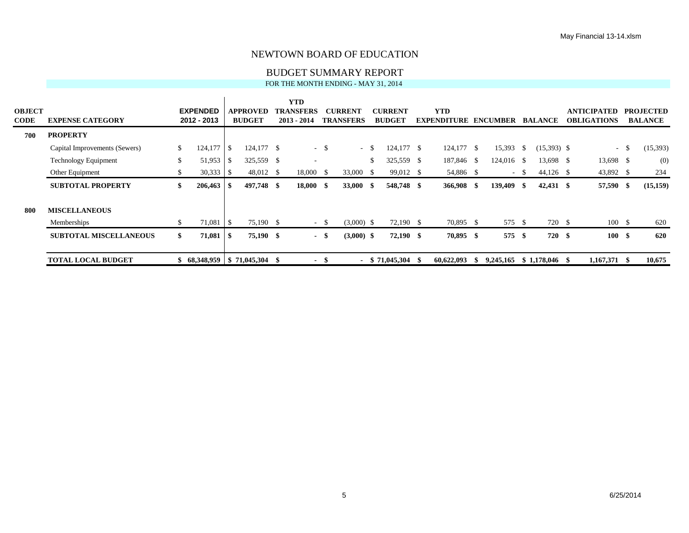#### BUDGET SUMMARY REPORT

| <b>OBJECT</b><br><b>CODE</b> | <b>EXPENSE CATEGORY</b>       |     | <b>EXPENDED</b><br>2012 - 2013 |                  | APPROVED<br><b>BUDGET</b> | <b>YTD</b><br><b>TRANSFERS</b><br>$2013 - 2014$ |        | <b>CURRENT</b><br><b>TRANSFERS</b> |        | <b>CURRENT</b><br><b>BUDGET</b> |      | <b>YTD</b><br><b>EXPENDITURE</b> |      | <b>ENCUMBER</b> |        | <b>BALANCE</b> | <b>ANTICIPATED</b><br><b>OBLIGATIONS</b> |        | <b>PROJECTED</b><br><b>BALANCE</b> |
|------------------------------|-------------------------------|-----|--------------------------------|------------------|---------------------------|-------------------------------------------------|--------|------------------------------------|--------|---------------------------------|------|----------------------------------|------|-----------------|--------|----------------|------------------------------------------|--------|------------------------------------|
| 700                          | <b>PROPERTY</b>               |     |                                |                  |                           |                                                 |        |                                    |        |                                 |      |                                  |      |                 |        |                |                                          |        |                                    |
|                              | Capital Improvements (Sewers) | \$. | 124,177                        | $\blacksquare$   | $124,177$ \$              |                                                 | $-$ \$ |                                    | $-$ \$ | 124,177 \$                      |      | 124,177 \$                       |      | 15,393          | -S     | $(15,393)$ \$  |                                          | $-$ \$ | (15,393)                           |
|                              | <b>Technology Equipment</b>   | \$. | $51,953$ \$                    |                  | 325,559 \$                | $\sim$                                          |        |                                    | \$     | 325,559 \$                      |      | 187,846 \$                       |      | 124,016 \$      |        | 13,698 \$      | 13,698 \$                                |        | (0)                                |
|                              | Other Equipment               |     |                                |                  | 48,012 \$                 | 18,000 \$                                       |        | 33,000 \$                          |        | 99,012 \$                       |      | 54,886 \$                        |      |                 | $-$ \$ | $44,126$ \$    | 43,892 \$                                |        | 234                                |
|                              | <b>SUBTOTAL PROPERTY</b>      |     | $206,463$ \$                   |                  | 497,748 \$                | $18,000$ \$                                     |        | 33,000 \$                          |        | 548,748 \$                      |      | 366,908 \$                       |      | 139,409 \$      |        | $42,431$ \$    | 57,590 \$                                |        | (15, 159)                          |
| -800                         | <b>MISCELLANEOUS</b>          |     |                                |                  |                           |                                                 |        |                                    |        |                                 |      |                                  |      |                 |        |                |                                          |        |                                    |
|                              | Memberships                   | Ж.  | 71,081                         | $\overline{1}$ s | 75,190 \$                 |                                                 | $- S$  | $(3,000)$ \$                       |        | 72,190 \$                       |      | 70,895 \$                        |      | 575 \$          |        | 720 \$         | 100 \$                                   |        | 620                                |
|                              | <b>SUBTOTAL MISCELLANEOUS</b> | SS. |                                |                  | 75,190 \$                 |                                                 | - \$   | $(3,000)$ \$                       |        | $72,190$ \$                     |      | 70,895 \$                        |      | 575             | - \$   | 720 \$         | 100S                                     |        | 620                                |
|                              | <b>TOTAL LOCAL BUDGET</b>     |     | 68,348,959 \$ 71,045,304       |                  |                           | $\sim$                                          |        |                                    |        | $-$ \$ 71,045,304               | - \$ | 60,622,093                       | - \$ | 9,245,165       |        | \$1.178.046    | $1,167,371$ \$                           |        | 10,675                             |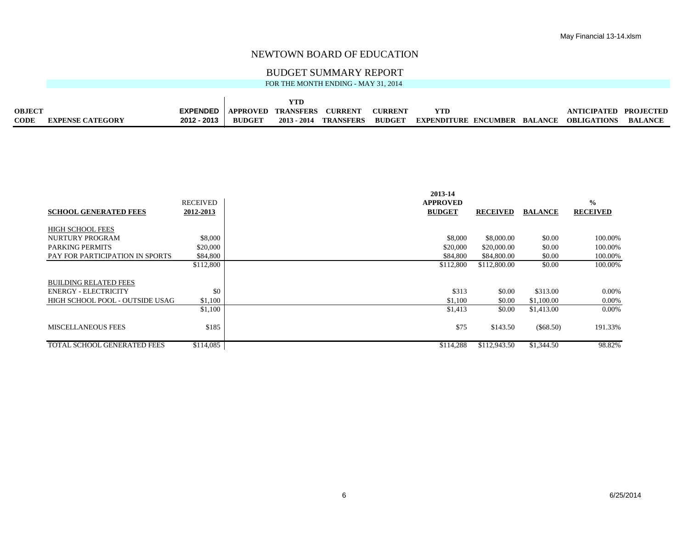#### BUDGET SUMMARY REPORT

|               |                         |                                    |               | YTD |                       |                |                              |                       |                |
|---------------|-------------------------|------------------------------------|---------------|-----|-----------------------|----------------|------------------------------|-----------------------|----------------|
| <b>OBJECT</b> |                         | <b>EXPENDED</b> APPROVED TRANSFERS |               |     | <b>CURRENT</b>        | <b>CURRENT</b> |                              | ANTICIPATED PROJECTED |                |
| <b>CODE</b>   | <b>EXPENSE CATEGORY</b> | 2012 - 2013                        | <b>BUDGET</b> |     | 2013 - 2014 TRANSFERS | <b>BUDGET</b>  | EXPENDITURE ENCUMBER BALANCE | OBLIGATIONS           | <b>BALANCE</b> |

|                                 |                 | 2013-14         |                 |                |                 |
|---------------------------------|-----------------|-----------------|-----------------|----------------|-----------------|
|                                 | <b>RECEIVED</b> | <b>APPROVED</b> |                 |                | $\frac{0}{0}$   |
| <b>SCHOOL GENERATED FEES</b>    | 2012-2013       | <b>BUDGET</b>   | <b>RECEIVED</b> | <b>BALANCE</b> | <b>RECEIVED</b> |
|                                 |                 |                 |                 |                |                 |
| <b>HIGH SCHOOL FEES</b>         |                 |                 |                 |                |                 |
| <b>NURTURY PROGRAM</b>          | \$8,000         | \$8,000         | \$8,000.00      | \$0.00         | 100.00%         |
| <b>PARKING PERMITS</b>          | \$20,000        | \$20,000        | \$20,000.00     | \$0.00         | 100.00%         |
| PAY FOR PARTICIPATION IN SPORTS | \$84,800        | \$84,800        | \$84,800.00     | \$0.00         | 100.00%         |
|                                 | \$112,800       | \$112,800       | \$112,800.00    | \$0.00         | 100.00%         |
|                                 |                 |                 |                 |                |                 |
| <b>BUILDING RELATED FEES</b>    |                 |                 |                 |                |                 |
| <b>ENERGY - ELECTRICITY</b>     | \$0             | \$313           | \$0.00          | \$313.00       | 0.00%           |
| HIGH SCHOOL POOL - OUTSIDE USAG | \$1,100         | \$1,100         | \$0.00          | \$1,100.00     | 0.00%           |
|                                 | \$1,100         | \$1,413         | \$0.00          | \$1,413.00     | $0.00\%$        |
|                                 |                 |                 |                 |                |                 |
| <b>MISCELLANEOUS FEES</b>       | \$185           | \$75            | \$143.50        | $(\$68.50)$    | 191.33%         |
|                                 |                 |                 |                 |                |                 |
| TOTAL SCHOOL GENERATED FEES     | \$114,085       | \$114.288       | \$112,943.50    | \$1,344.50     | 98.82%          |
|                                 |                 |                 |                 |                |                 |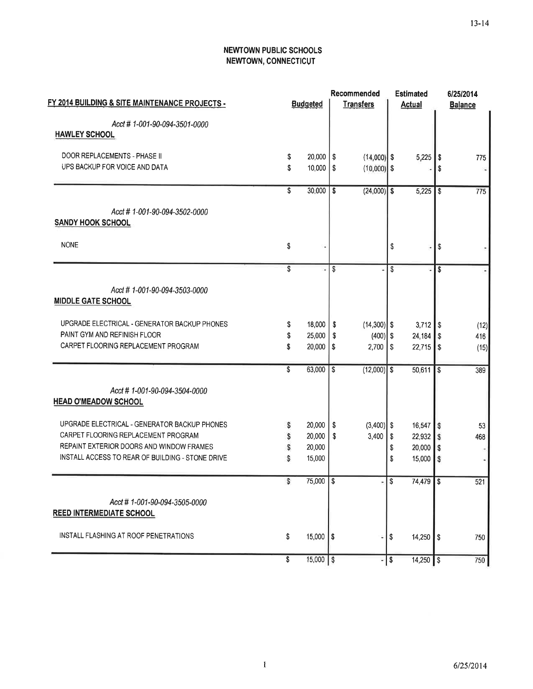## **NEWTOWN PUBLIC SCHOOLS** NEWTOWN, CONNECTICUT

| FY 2014 BUILDING & SITE MAINTENANCE PROJECTS -           |    | <b>Budgeted</b>        |                          | Recommended<br><b>Transfers</b> |                         | <b>Estimated</b><br><b>Actual</b> |            | 6/25/2014<br><b>Balance</b> |
|----------------------------------------------------------|----|------------------------|--------------------------|---------------------------------|-------------------------|-----------------------------------|------------|-----------------------------|
|                                                          |    |                        |                          |                                 |                         |                                   |            |                             |
| Acct #1-001-90-094-3501-0000                             |    |                        |                          |                                 |                         |                                   |            |                             |
| <b>HAWLEY SCHOOL</b>                                     |    |                        |                          |                                 |                         |                                   |            |                             |
| DOOR REPLACEMENTS - PHASE II                             | \$ | $20,000$ $\frac{1}{5}$ |                          | $(14,000)$ \$                   |                         | 5,225                             | - \$       | 775                         |
| UPS BACKUP FOR VOICE AND DATA                            | \$ | $10,000$ $\frac{1}{5}$ |                          | $(10,000)$ \$                   |                         |                                   |            | $\sim$                      |
|                                                          | \$ | 30,000                 | l s                      | $(24,000)$ \$                   |                         | 5.225                             | \$         | 775                         |
|                                                          |    |                        |                          |                                 |                         |                                   |            |                             |
| Acct #1-001-90-094-3502-0000<br><b>SANDY HOOK SCHOOL</b> |    |                        |                          |                                 |                         |                                   |            |                             |
| <b>NONE</b>                                              | \$ |                        |                          |                                 | \$                      |                                   | \$         |                             |
|                                                          |    |                        |                          |                                 |                         |                                   |            |                             |
|                                                          | \$ |                        | S                        |                                 | \$                      |                                   | \$         |                             |
| Acct #1-001-90-094-3503-0000                             |    |                        |                          |                                 |                         |                                   |            |                             |
| <b>MIDDLE GATE SCHOOL</b>                                |    |                        |                          |                                 |                         |                                   |            |                             |
| UPGRADE ELECTRICAL - GENERATOR BACKUP PHONES             | \$ | $18,000$ $\frac{8}{3}$ |                          | $(14,300)$ \$                   |                         | $3,712$ \$                        |            | (12)                        |
| PAINT GYM AND REFINISH FLOOR                             | S  | 25,000                 | ∣\$                      | $(400)$ \$                      |                         | $24,184$ \$                       |            | 416                         |
| CARPET FLOORING REPLACEMENT PROGRAM                      | \$ | 20,000                 | \$                       | $2,700$ $\sqrt{S}$              |                         | $22,715$ \$                       |            | (15)                        |
|                                                          | \$ | 63,000                 | $\overline{\mathcal{S}}$ | $(12,000)$ \$                   |                         | 50,611                            | $\sqrt{3}$ | 389                         |
| Acct #1-001-90-094-3504-0000                             |    |                        |                          |                                 |                         |                                   |            |                             |
| <b>HEAD O'MEADOW SCHOOL</b>                              |    |                        |                          |                                 |                         |                                   |            |                             |
| UPGRADE ELECTRICAL - GENERATOR BACKUP PHONES             | S  | 20,000                 | -\$                      | $(3,400)$ \$                    |                         | $16,547$ \$                       |            | 53                          |
| CARPET FLOORING REPLACEMENT PROGRAM                      | s  | 20,000                 | -S                       | 3,400                           | \$                      | $22,932$ \$                       |            | 468                         |
| REPAINT EXTERIOR DOORS AND WINDOW FRAMES                 | S. | 20,000                 |                          |                                 | \$                      | 20,000                            | S          |                             |
| INSTALL ACCESS TO REAR OF BUILDING - STONE DRIVE         | S  | 15,000                 |                          |                                 | \$                      | 15,000                            | l \$       |                             |
|                                                          | \$ | 75,000 \$              |                          |                                 | -56                     | 74,479   \$                       |            | 521                         |
| Acct # 1-001-90-094-3505-0000                            |    |                        |                          |                                 |                         |                                   |            |                             |
| <b>REED INTERMEDIATE SCHOOL</b>                          |    |                        |                          |                                 |                         |                                   |            |                             |
| INSTALL FLASHING AT ROOF PENETRATIONS                    | \$ | $15,000$ $\frac{1}{3}$ |                          |                                 | \$                      | $14,250$ \$                       |            | 750                         |
|                                                          | \$ | $15,000$ \$            |                          | ä,                              | $\overline{\mathsf{s}}$ | $14,250$ \$                       |            | 750                         |
|                                                          |    |                        |                          |                                 |                         |                                   |            |                             |